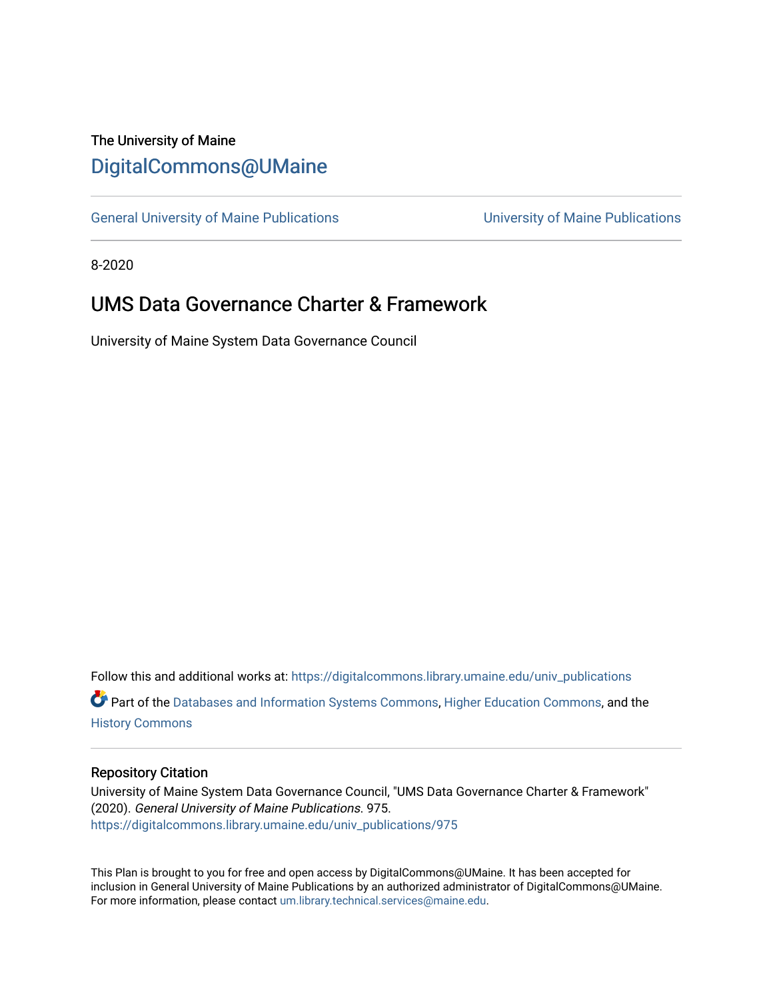## The University of Maine [DigitalCommons@UMaine](https://digitalcommons.library.umaine.edu/)

[General University of Maine Publications](https://digitalcommons.library.umaine.edu/univ_publications) [University of Maine Publications](https://digitalcommons.library.umaine.edu/umaine_publications) 

8-2020

# **UMS Data Governance Charter & Framework**

University of Maine System Data Governance Council

Follow this and additional works at: [https://digitalcommons.library.umaine.edu/univ\\_publications](https://digitalcommons.library.umaine.edu/univ_publications?utm_source=digitalcommons.library.umaine.edu%2Funiv_publications%2F975&utm_medium=PDF&utm_campaign=PDFCoverPages)  Part of the [Databases and Information Systems Commons](http://network.bepress.com/hgg/discipline/145?utm_source=digitalcommons.library.umaine.edu%2Funiv_publications%2F975&utm_medium=PDF&utm_campaign=PDFCoverPages), [Higher Education Commons,](http://network.bepress.com/hgg/discipline/1245?utm_source=digitalcommons.library.umaine.edu%2Funiv_publications%2F975&utm_medium=PDF&utm_campaign=PDFCoverPages) and the [History Commons](http://network.bepress.com/hgg/discipline/489?utm_source=digitalcommons.library.umaine.edu%2Funiv_publications%2F975&utm_medium=PDF&utm_campaign=PDFCoverPages)

#### Repository Citation

University of Maine System Data Governance Council, "UMS Data Governance Charter & Framework" (2020). General University of Maine Publications. 975. [https://digitalcommons.library.umaine.edu/univ\\_publications/975](https://digitalcommons.library.umaine.edu/univ_publications/975?utm_source=digitalcommons.library.umaine.edu%2Funiv_publications%2F975&utm_medium=PDF&utm_campaign=PDFCoverPages) 

This Plan is brought to you for free and open access by DigitalCommons@UMaine. It has been accepted for inclusion in General University of Maine Publications by an authorized administrator of DigitalCommons@UMaine. For more information, please contact [um.library.technical.services@maine.edu](mailto:um.library.technical.services@maine.edu).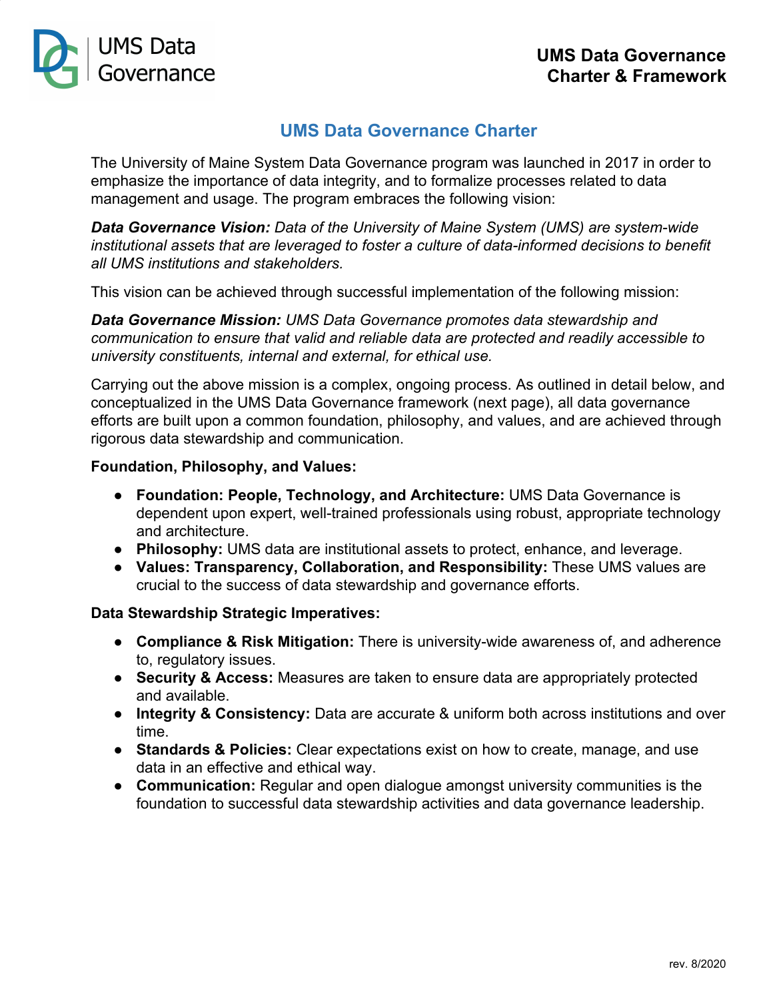

## **UMS Data Governance Charter**

The University of Maine System Data Governance program was launched in 2017 in order to emphasize the importance of data integrity, and to formalize processes related to data management and usage. The program embraces the following vision:

*Data Governance Vision: Data of the University of Maine System (UMS) are system-wide institutional assets that are leveraged to foster a culture of data-informed decisions to benefit all UMS institutions and stakeholders.*

This vision can be achieved through successful implementation of the following mission:

*Data Governance Mission: UMS Data Governance promotes data stewardship and communication to ensure that valid and reliable data are protected and readily accessible to university constituents, internal and external, for ethical use.*

Carrying out the above mission is a complex, ongoing process. As outlined in detail below, and conceptualized in the UMS Data Governance framework (next page), all data governance efforts are built upon a common foundation, philosophy, and values, and are achieved through rigorous data stewardship and communication.

#### **Foundation, Philosophy, and Values:**

- **Foundation: People, Technology, and Architecture:** UMS Data Governance is dependent upon expert, well-trained professionals using robust, appropriate technology and architecture.
- **Philosophy:** UMS data are institutional assets to protect, enhance, and leverage.
- **Values: Transparency, Collaboration, and Responsibility:** These UMS values are crucial to the success of data stewardship and governance efforts.

#### **Data Stewardship Strategic Imperatives:**

- **Compliance & Risk Mitigation:** There is university-wide awareness of, and adherence to, regulatory issues.
- **Security & Access:** Measures are taken to ensure data are appropriately protected and available.
- **● Integrity & Consistency:** Data are accurate & uniform both across institutions and over time.
- **● Standards & Policies:** Clear expectations exist on how to create, manage, and use data in an effective and ethical way.
- **● Communication:** Regular and open dialogue amongst university communities is the foundation to successful data stewardship activities and data governance leadership.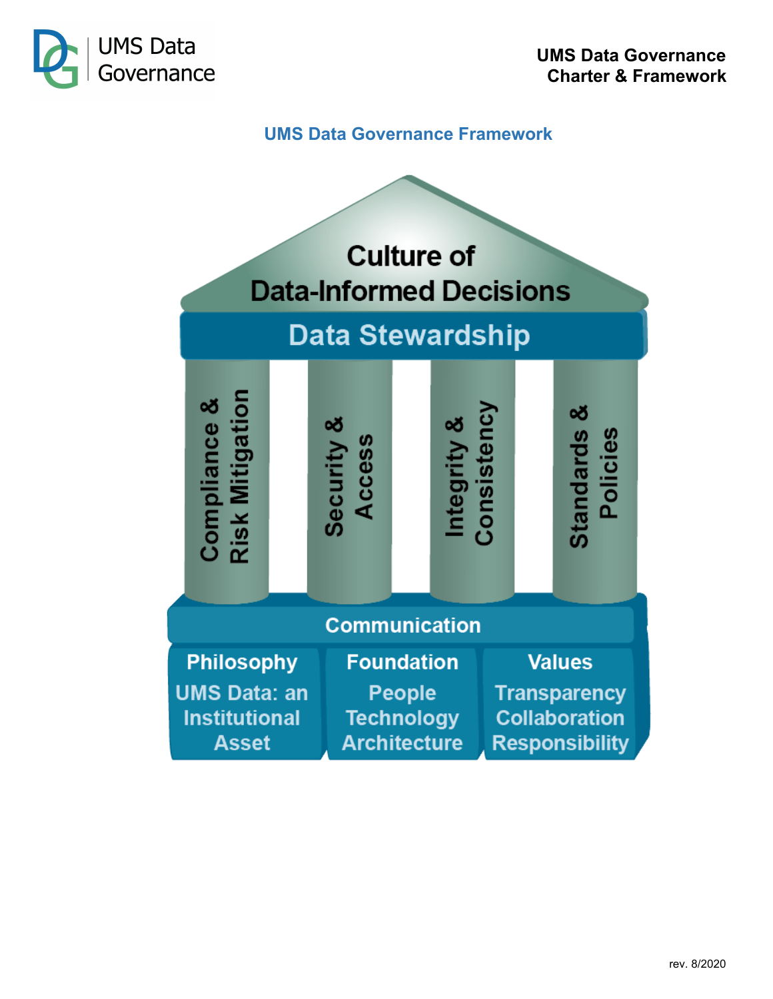

## **UMS Data Governance Framework**

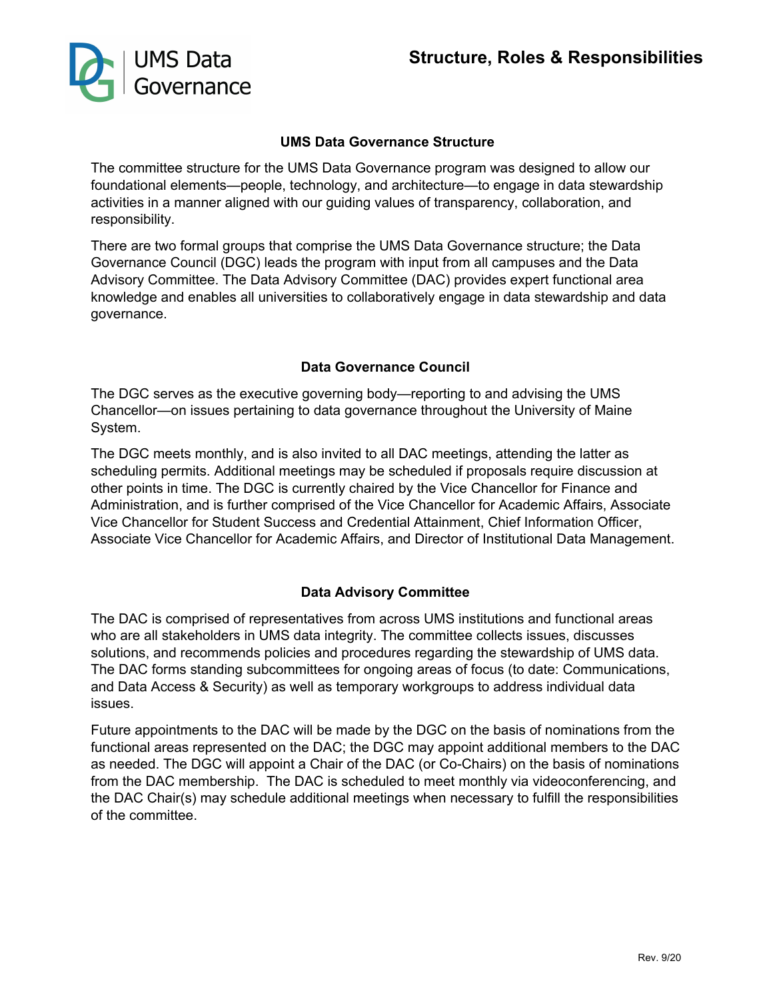

#### **UMS Data Governance Structure**

The committee structure for the UMS Data Governance program was designed to allow our foundational elements—people, technology, and architecture—to engage in data stewardship activities in a manner aligned with our guiding values of transparency, collaboration, and responsibility.

There are two formal groups that comprise the UMS Data Governance structure; the Data Governance Council (DGC) leads the program with input from all campuses and the Data Advisory Committee. The Data Advisory Committee (DAC) provides expert functional area knowledge and enables all universities to collaboratively engage in data stewardship and data governance.

#### **Data Governance Council**

The DGC serves as the executive governing body—reporting to and advising the UMS Chancellor—on issues pertaining to data governance throughout the University of Maine System.

The DGC meets monthly, and is also invited to all DAC meetings, attending the latter as scheduling permits. Additional meetings may be scheduled if proposals require discussion at other points in time. The DGC is currently chaired by the Vice Chancellor for Finance and Administration, and is further comprised of the Vice Chancellor for Academic Affairs, Associate Vice Chancellor for Student Success and Credential Attainment, Chief Information Officer, Associate Vice Chancellor for Academic Affairs, and Director of Institutional Data Management.

#### **Data Advisory Committee**

The DAC is comprised of representatives from across UMS institutions and functional areas who are all stakeholders in UMS data integrity. The committee collects issues, discusses solutions, and recommends policies and procedures regarding the stewardship of UMS data. The DAC forms standing subcommittees for ongoing areas of focus (to date: Communications, and Data Access & Security) as well as temporary workgroups to address individual data issues.

Future appointments to the DAC will be made by the DGC on the basis of nominations from the functional areas represented on the DAC; the DGC may appoint additional members to the DAC as needed. The DGC will appoint a Chair of the DAC (or Co-Chairs) on the basis of nominations from the DAC membership. The DAC is scheduled to meet monthly via videoconferencing, and the DAC Chair(s) may schedule additional meetings when necessary to fulfill the responsibilities of the committee.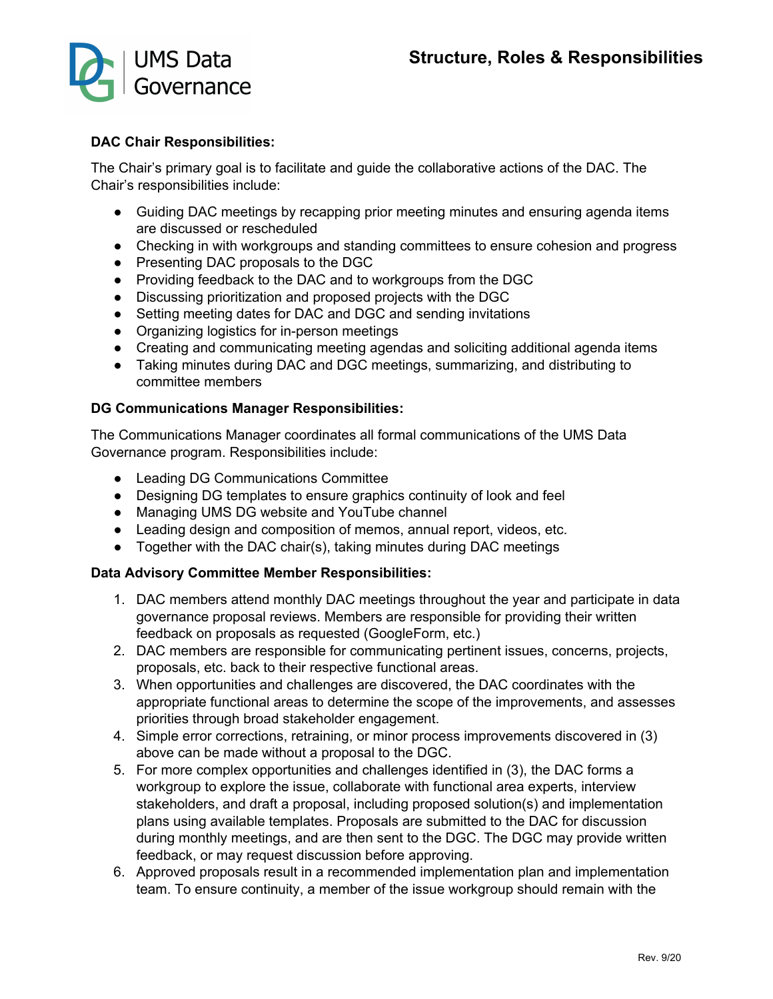

#### **DAC Chair Responsibilities:**

The Chair's primary goal is to facilitate and guide the collaborative actions of the DAC. The Chair's responsibilities include:

- Guiding DAC meetings by recapping prior meeting minutes and ensuring agenda items are discussed or rescheduled
- Checking in with workgroups and standing committees to ensure cohesion and progress
- Presenting DAC proposals to the DGC
- Providing feedback to the DAC and to workgroups from the DGC
- Discussing prioritization and proposed projects with the DGC
- Setting meeting dates for DAC and DGC and sending invitations
- Organizing logistics for in-person meetings
- Creating and communicating meeting agendas and soliciting additional agenda items
- Taking minutes during DAC and DGC meetings, summarizing, and distributing to committee members

#### **DG Communications Manager Responsibilities:**

The Communications Manager coordinates all formal communications of the UMS Data Governance program. Responsibilities include:

- Leading DG Communications Committee
- Designing DG templates to ensure graphics continuity of look and feel
- Managing UMS DG website and YouTube channel
- Leading design and composition of memos, annual report, videos, etc.
- Together with the DAC chair(s), taking minutes during DAC meetings

#### **Data Advisory Committee Member Responsibilities:**

- 1. DAC members attend monthly DAC meetings throughout the year and participate in data governance proposal reviews. Members are responsible for providing their written feedback on proposals as requested (GoogleForm, etc.)
- 2. DAC members are responsible for communicating pertinent issues, concerns, projects, proposals, etc. back to their respective functional areas.
- 3. When opportunities and challenges are discovered, the DAC coordinates with the appropriate functional areas to determine the scope of the improvements, and assesses priorities through broad stakeholder engagement.
- 4. Simple error corrections, retraining, or minor process improvements discovered in (3) above can be made without a proposal to the DGC.
- 5. For more complex opportunities and challenges identified in (3), the DAC forms a workgroup to explore the issue, collaborate with functional area experts, interview stakeholders, and draft a proposal, including proposed solution(s) and implementation plans using available templates. Proposals are submitted to the DAC for discussion during monthly meetings, and are then sent to the DGC. The DGC may provide written feedback, or may request discussion before approving.
- 6. Approved proposals result in a recommended implementation plan and implementation team. To ensure continuity, a member of the issue workgroup should remain with the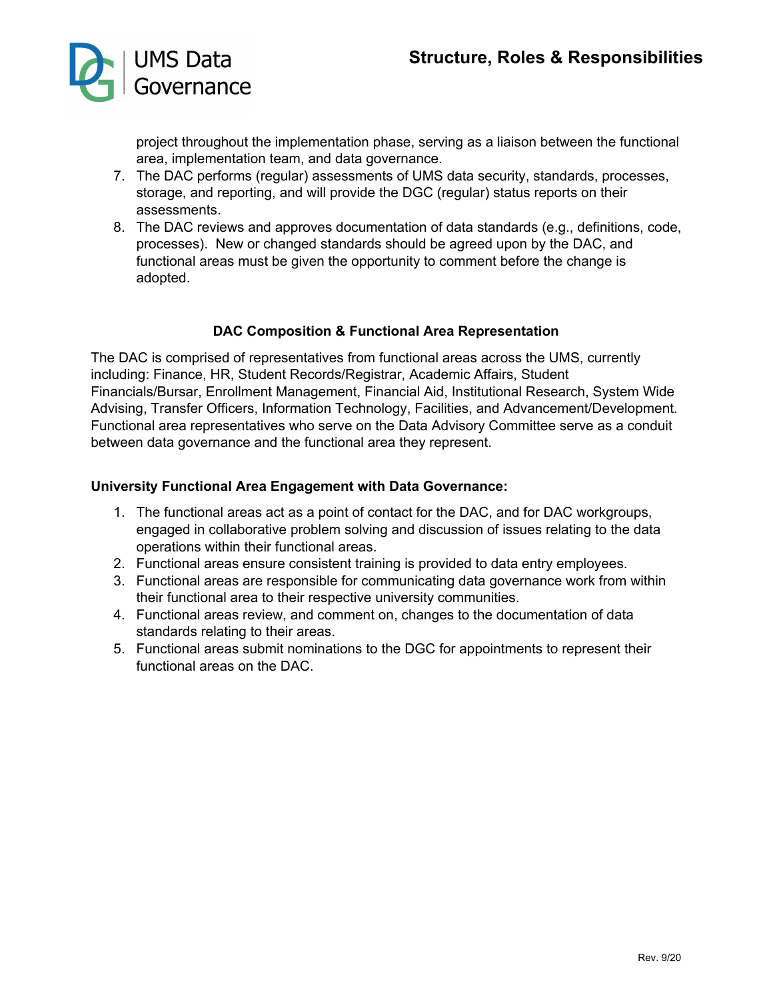

project throughout the implementation phase, serving as a liaison between the functional area, implementation team, and data governance.

- 7. The DAC performs (regular) assessments of UMS data security, standards, processes, storage, and reporting, and will provide the DGC (regular) status reports on their assessments.
- 8. The DAC reviews and approves documentation of data standards (e.g., definitions, code, processes). New or changed standards should be agreed upon by the DAC, and functional areas must be given the opportunity to comment before the change is adopted.

#### **DAC Composition & Functional Area Representation**

The DAC is comprised of representatives from functional areas across the UMS, currently including: Finance, HR, Student Records/Registrar, Academic Affairs, Student Financials/Bursar, Enrollment Management, Financial Aid, Institutional Research, System Wide Advising, Transfer Officers, Information Technology, Facilities, and Advancement/Development. Functional area representatives who serve on the Data Advisory Committee serve as a conduit between data governance and the functional area they represent.

#### **University Functional Area Engagement with Data Governance:**

- 1. The functional areas act as a point of contact for the DAC, and for DAC workgroups, engaged in collaborative problem solving and discussion of issues relating to the data operations within their functional areas.
- 2. Functional areas ensure consistent training is provided to data entry employees.
- 3. Functional areas are responsible for communicating data governance work from within their functional area to their respective university communities.
- 4. Functional areas review, and comment on, changes to the documentation of data standards relating to their areas.
- 5. Functional areas submit nominations to the DGC for appointments to represent their functional areas on the DAC.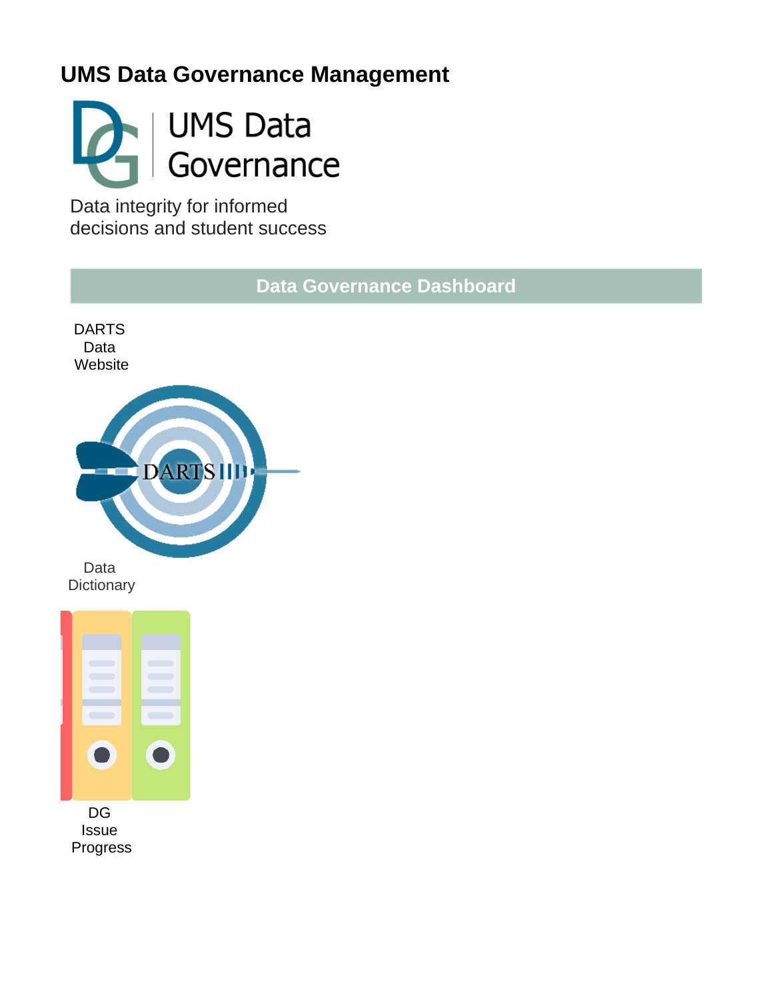# **UMS Data Governance Management**



Data integrity for informed decisions and student success

**Data Governance Dashboard**



[Data](https://gojira.its.maine.edu/confluence/display/DataGov/Data+Cookbook)  **[Dictionary](https://gojira.its.maine.edu/confluence/display/DataGov/Data+Cookbook)** 

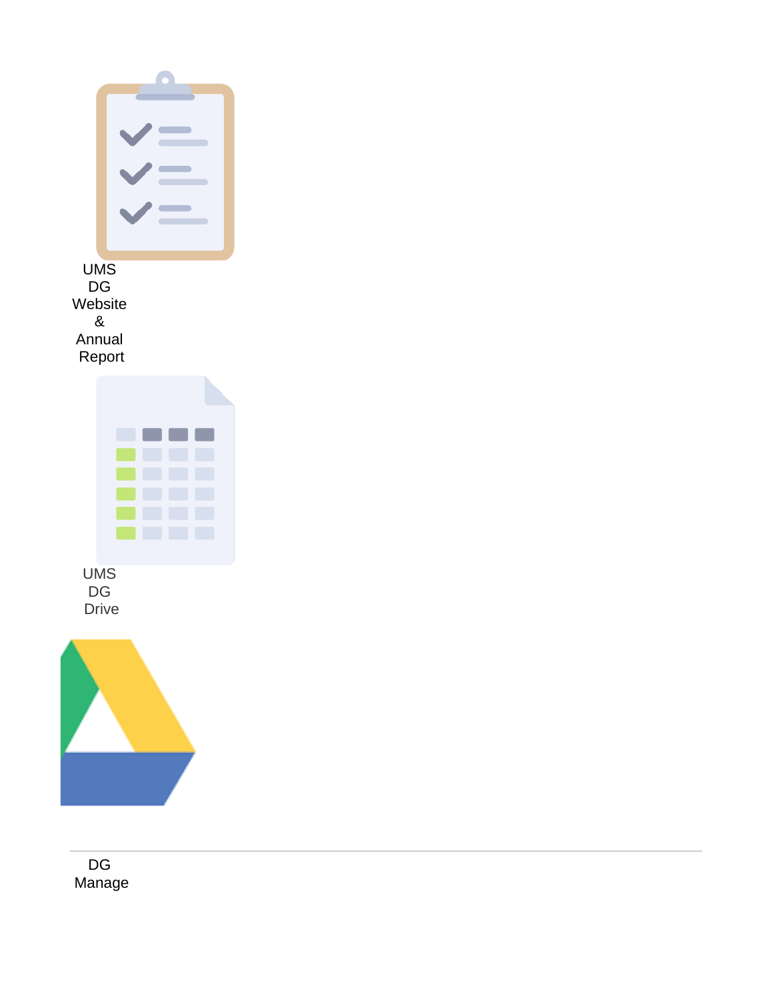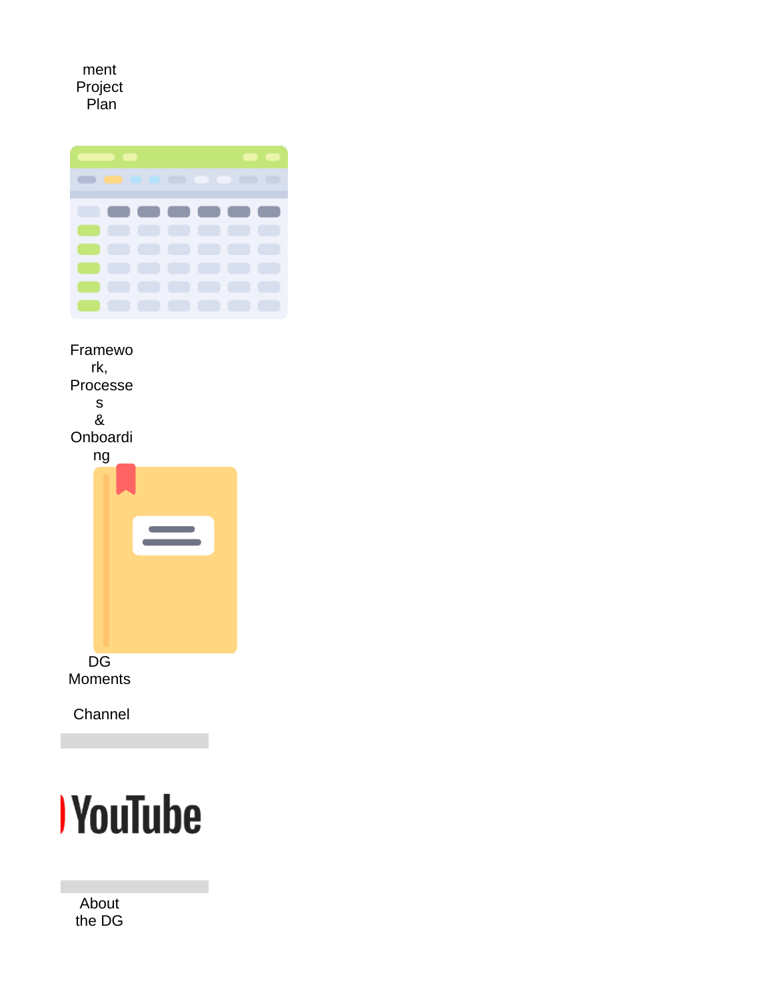[ment](https://gojira.its.maine.edu/confluence/x/TxW1BQ)  [Project](https://gojira.its.maine.edu/confluence/x/TxW1BQ)  [Plan](https://gojira.its.maine.edu/confluence/x/TxW1BQ)



[Framewo](https://gojira.its.maine.edu/confluence/pages/viewpage.action?pageId=95763816) [rk,](https://gojira.its.maine.edu/confluence/pages/viewpage.action?pageId=95763816)  [Processe](https://gojira.its.maine.edu/confluence/pages/viewpage.action?pageId=95763816) [s](https://gojira.its.maine.edu/confluence/pages/viewpage.action?pageId=95763816)  [&](https://gojira.its.maine.edu/confluence/pages/viewpage.action?pageId=95763816)  [Onboardi](https://gojira.its.maine.edu/confluence/pages/viewpage.action?pageId=95763816) [ng](https://gojira.its.maine.edu/confluence/pages/viewpage.action?pageId=95763816) [DG](https://www.youtube.com/channel/UC8eS2TIKvaxuXRAdV-SFgPQ?view_as=subscriber)  [Moments](https://www.youtube.com/channel/UC8eS2TIKvaxuXRAdV-SFgPQ?view_as=subscriber) 

[Channel](https://www.youtube.com/channel/UC8eS2TIKvaxuXRAdV-SFgPQ?view_as=subscriber)



[About](https://gojira.its.maine.edu/confluence/x/1Ti1BQ)  [the DG](https://gojira.its.maine.edu/confluence/x/1Ti1BQ)